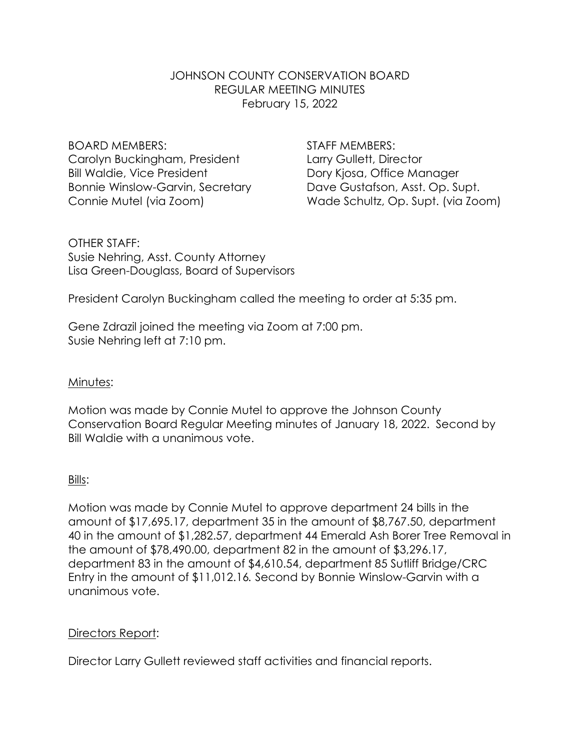### JOHNSON COUNTY CONSERVATION BOARD REGULAR MEETING MINUTES February 15, 2022

BOARD MEMBERS: STAFF MEMBERS: Carolyn Buckingham, President Larry Gullett, Director Bill Waldie, Vice President **Dory Kiosa**, Office Manager Bonnie Winslow-Garvin, Secretary Dave Gustafson, Asst. Op. Supt.

Connie Mutel (via Zoom) Wade Schultz, Op. Supt. (via Zoom)

OTHER STAFF: Susie Nehring, Asst. County Attorney Lisa Green-Douglass, Board of Supervisors

President Carolyn Buckingham called the meeting to order at 5:35 pm.

Gene Zdrazil joined the meeting via Zoom at 7:00 pm. Susie Nehring left at 7:10 pm.

# Minutes:

Motion was made by Connie Mutel to approve the Johnson County Conservation Board Regular Meeting minutes of January 18, 2022. Second by Bill Waldie with a unanimous vote.

### Bills:

Motion was made by Connie Mutel to approve department 24 bills in the amount of \$17,695.17, department 35 in the amount of \$8,767.50, department 40 in the amount of \$1,282.57, department 44 Emerald Ash Borer Tree Removal in the amount of \$78,490.00, department 82 in the amount of \$3,296.17, department 83 in the amount of \$4,610.54, department 85 Sutliff Bridge/CRC Entry in the amount of \$11,012.16*.* Second by Bonnie Winslow-Garvin with a unanimous vote.

# Directors Report:

Director Larry Gullett reviewed staff activities and financial reports.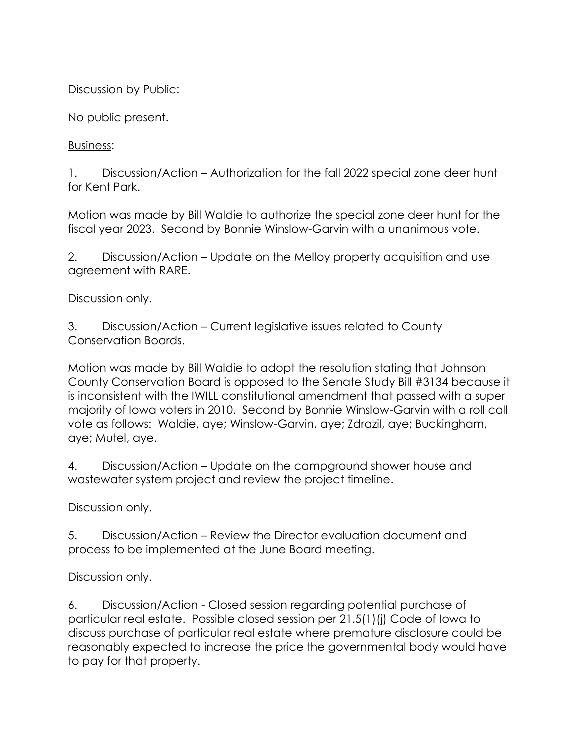## Discussion by Public:

No public present.

Business:

1. Discussion/Action – Authorization for the fall 2022 special zone deer hunt for Kent Park.

Motion was made by Bill Waldie to authorize the special zone deer hunt for the fiscal year 2023. Second by Bonnie Winslow-Garvin with a unanimous vote.

2. Discussion/Action – Update on the Melloy property acquisition and use agreement with RARE.

Discussion only.

3. Discussion/Action – Current legislative issues related to County Conservation Boards.

Motion was made by Bill Waldie to adopt the resolution stating that Johnson County Conservation Board is opposed to the Senate Study Bill #3134 because it is inconsistent with the IWILL constitutional amendment that passed with a super majority of Iowa voters in 2010. Second by Bonnie Winslow-Garvin with a roll call vote as follows: Waldie, aye; Winslow-Garvin, aye; Zdrazil, aye; Buckingham, aye; Mutel, aye.

4. Discussion/Action – Update on the campground shower house and wastewater system project and review the project timeline.

Discussion only.

5. Discussion/Action – Review the Director evaluation document and process to be implemented at the June Board meeting.

Discussion only.

6. Discussion/Action - Closed session regarding potential purchase of particular real estate. Possible closed session per 21.5(1)(j) Code of Iowa to discuss purchase of particular real estate where premature disclosure could be reasonably expected to increase the price the governmental body would have to pay for that property.